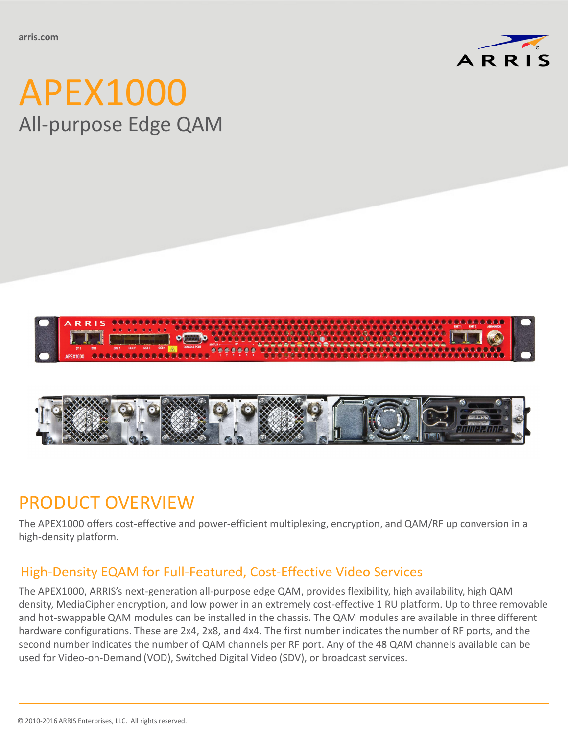

# APEX1000 All-purpose Edge QAM





## PRODUCT OVERVIEW

The APEX1000 offers cost-effective and power-efficient multiplexing, encryption, and QAM/RF up conversion in a high-density platform.

#### High-Density EQAM for Full-Featured, Cost-Effective Video Services

The APEX1000, ARRIS's next-generation all-purpose edge QAM, provides flexibility, high availability, high QAM density, MediaCipher encryption, and low power in an extremely cost-effective 1 RU platform. Up to three removable and hot-swappable QAM modules can be installed in the chassis. The QAM modules are available in three different hardware configurations. These are 2x4, 2x8, and 4x4. The first number indicates the number of RF ports, and the second number indicates the number of QAM channels per RF port. Any of the 48 QAM channels available can be used for Video-on-Demand (VOD), Switched Digital Video (SDV), or broadcast services.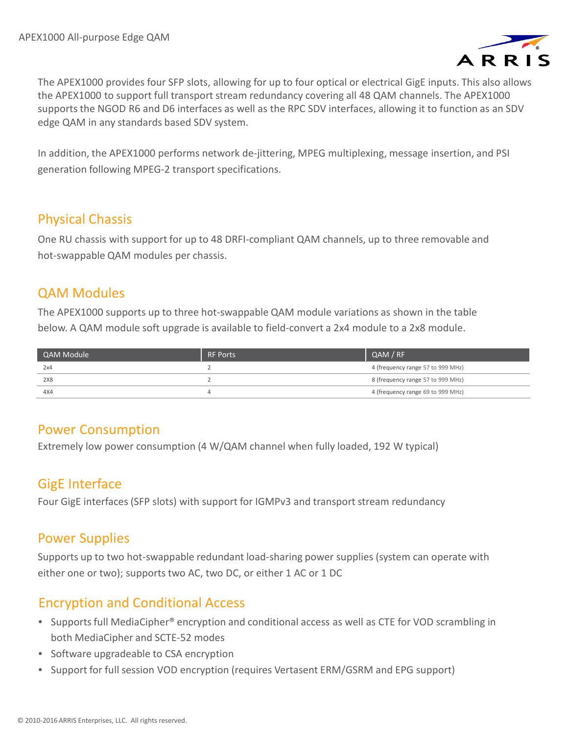

The APEX1000 provides four SFP slots, allowing for up to four optical or electrical GigE inputs. This also allows the APEX1000 to support full transport stream redundancy covering all 48 QAM channels. The APEX1000 supports the NGOD R6 and D6 interfaces as well as the RPC SDV interfaces, allowing it to function as an SDV edge QAM in any standards based SDV system.

In addition, the APEX1000 performs network de-jittering, MPEG multiplexing, message insertion, and PSI generation following MPEG-2 transport specifications.

#### Physical Chassis

One RU chassis with support for up to 48 DRFI-compliant QAM channels, up to three removable and hot-swappable QAM modules per chassis.

#### QAM Modules

The APEX1000 supports up to three hot-swappable QAM module variations as shown in the table below. A QAM module soft upgrade is available to field-convert a 2x4 module to a 2x8 module.

| QAM Module | <b>RF Ports</b> | QAM / RF                          |
|------------|-----------------|-----------------------------------|
| 2x4        |                 | 4 (frequency range 57 to 999 MHz) |
| 2X8        |                 | 8 (frequency range 57 to 999 MHz) |
| 4X4        |                 | 4 (frequency range 69 to 999 MHz) |

#### Power Consumption

Extremely low power consumption (4 W/QAM channel when fully loaded, 192 W typical)

#### GigE Interface

Four GigE interfaces (SFP slots) with support for IGMPv3 and transport stream redundancy

#### Power Supplies

Supports up to two hot-swappable redundant load-sharing power supplies (system can operate with either one or two); supports two AC, two DC, or either 1 AC or 1 DC

### Encryption and Conditional Access

- Supports full MediaCipher® encryption and conditional access as well as CTE for VOD scrambling in both MediaCipher and SCTE-52 modes
- Software upgradeable to CSA encryption
- Support for full session VOD encryption (requires Vertasent ERM/GSRM and EPG support)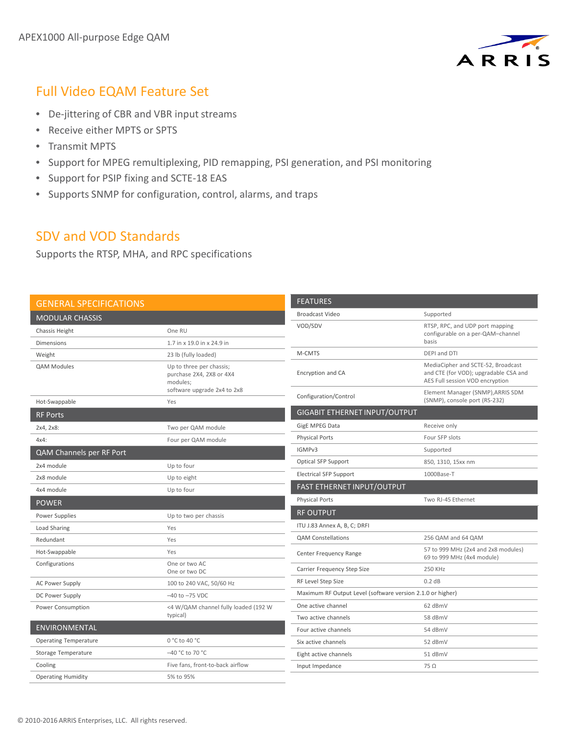

 $\overline{\phantom{0}}$  $\overline{\phantom{0}}$  $\overline{\phantom{a}}$ 

#### Full Video EQAM Feature Set

- De-jittering of CBR and VBR input streams
- Receive either MPTS or SPTS
- Transmit MPTS
- Support for MPEG remultiplexing, PID remapping, PSI generation, and PSI monitoring
- Support for PSIP fixing and SCTE-18 EAS
- Supports SNMP for configuration, control, alarms, and traps

#### SDV and VOD Standards

Supports the RTSP, MHA, and RPC specifications

| <b>GENERAL SPECIFICATIONS</b> |                                                                  | <b>FEATURES</b>                                            |                                                                                                                |
|-------------------------------|------------------------------------------------------------------|------------------------------------------------------------|----------------------------------------------------------------------------------------------------------------|
| <b>MODULAR CHASSIS</b>        |                                                                  | <b>Broadcast Video</b>                                     | Supported                                                                                                      |
| Chassis Height                | One RU                                                           | VOD/SDV                                                    | RTSP, RPC, and UDP port mapping<br>configurable on a per-QAM-channel                                           |
| <b>Dimensions</b>             | 1.7 in x 19.0 in x 24.9 in                                       |                                                            | basis                                                                                                          |
| Weight                        | 23 lb (fully loaded)                                             | M-CMTS                                                     | DEPI and DTI                                                                                                   |
| <b>QAM Modules</b>            | Up to three per chassis;<br>purchase 2X4, 2X8 or 4X4<br>modules: | Encryption and CA                                          | MediaCipher and SCTE-52, Broadcast<br>and CTE (for VOD); upgradable CSA and<br>AES Full session VOD encryption |
| Hot-Swappable                 | software upgrade 2x4 to 2x8<br>Yes                               | Configuration/Control                                      | Element Manager (SNMP), ARRIS SDM<br>(SNMP), console port (RS-232)                                             |
| <b>RF Ports</b>               |                                                                  | <b>GIGABIT ETHERNET INPUT/OUTPUT</b>                       |                                                                                                                |
| 2x4, 2x8:                     | Two per QAM module                                               | GigE MPEG Data                                             | Receive only                                                                                                   |
| $4x4$ :                       | Four per QAM module                                              | <b>Physical Ports</b>                                      | Four SFP slots                                                                                                 |
| QAM Channels per RF Port      |                                                                  | IGMPv3                                                     | Supported                                                                                                      |
| 2x4 module                    | Up to four                                                       | Optical SFP Support                                        | 850, 1310, 15xx nm                                                                                             |
| 2x8 module                    | Up to eight                                                      | <b>Electrical SFP Support</b>                              | 1000Base-T                                                                                                     |
| 4x4 module                    | Up to four                                                       | FAST ETHERNET INPUT/OUTPUT                                 |                                                                                                                |
| <b>POWER</b>                  |                                                                  | <b>Physical Ports</b>                                      | Two RJ-45 Ethernet                                                                                             |
| Power Supplies                | Up to two per chassis                                            | <b>RF OUTPUT</b>                                           |                                                                                                                |
| Load Sharing                  | Yes                                                              | ITU J.83 Annex A, B, C; DRFI                               |                                                                                                                |
| Redundant                     | Yes                                                              | <b>QAM Constellations</b>                                  | 256 QAM and 64 QAM                                                                                             |
| Hot-Swappable                 | Yes                                                              | Center Frequency Range                                     | 57 to 999 MHz (2x4 and 2x8 modules)<br>69 to 999 MHz (4x4 module)                                              |
| Configurations                | One or two AC<br>One or two DC                                   | Carrier Frequency Step Size                                | 250 KHz                                                                                                        |
| <b>AC Power Supply</b>        | 100 to 240 VAC, 50/60 Hz                                         | RF Level Step Size                                         | 0.2 dB                                                                                                         |
| DC Power Supply               | $-40$ to $-75$ VDC                                               | Maximum RF Output Level (software version 2.1.0 or higher) |                                                                                                                |
| Power Consumption             | <4 W/QAM channel fully loaded (192 W                             | One active channel                                         | 62 dBmV                                                                                                        |
| typical)                      |                                                                  | Two active channels                                        | 58 dBmV                                                                                                        |
| <b>ENVIRONMENTAL</b>          |                                                                  | Four active channels                                       | 54 dBmV                                                                                                        |
| <b>Operating Temperature</b>  | 0 °C to 40 °C                                                    | Six active channels                                        | 52 dBmV                                                                                                        |
| Storage Temperature           | -40 °C to 70 °C                                                  | Eight active channels                                      | 51 dBmV                                                                                                        |
| Cooling                       | Five fans, front-to-back airflow                                 | Input Impedance                                            | $75\Omega$                                                                                                     |
| <b>Operating Humidity</b>     | 5% to 95%                                                        |                                                            |                                                                                                                |